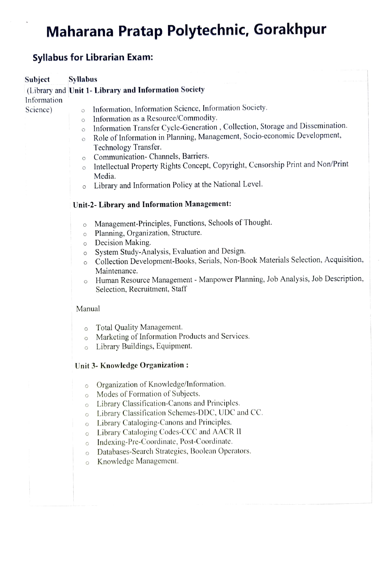# Maharana Pratap Polytechnic, Gorakhpur

#### **Syllabus for Librarian Exam:**

#### **Syllabus** Subject

(Library and Unit 1- Library and Information Society

Information

Science)

- Information, Information Science, Information Society.  $\circ$
- Information as a Resource/Commodity.  $\circ$
- Information Transfer Cycle-Generation, Collection, Storage and Dissemination.  $\circ$
- Role of Information in Planning, Management, Socio-economic Development,  $\circ$ 
	- Technology Transfer.
- Communication- Channels, Barriers.  $\circ$
- Intellectual Property Rights Concept, Copyright, Censorship Print and Non/Print  $\circ$ Media.
- Library and Information Policy at the National Level.  $\circ$

#### Unit-2- Library and Information Management:

- Management-Principles, Functions, Schools of Thought.  $\circ$
- Planning, Organization, Structure.  $\circ$
- Decision Making.  $\circ$
- System Study-Analysis, Evaluation and Design.  $\circ$
- Collection Development-Books, Serials, Non-Book Materials Selection, Acquisition,  $\circ$ Maintenance.
- Human Resource Management Manpower Planning, Job Analysis, Job Description,  $\circ$ Selection, Recruitment, Staff

#### Manual

- Total Quality Management.  $\circ$
- Marketing of Information Products and Services.  $\circ$
- Library Buildings, Equipment.  $\circ$

#### Unit 3- Knowledge Organization:

- Organization of Knowledge/Information.  $\circ$
- Modes of Formation of Subjects.  $\circ$
- Library Classification-Canons and Principles.  $\circ$
- Library Classification Schemes-DDC, UDC and CC.  $\circ$
- Library Cataloging-Canons and Principles.  $\Omega$
- Library Cataloging Codes-CCC and AACR II  $\circ$
- Indexing-Pre-Coordinate, Post-Coordinate.  $\circ$
- Databases-Search Strategies, Boolean Operators.  $\circ$
- Knowledge Management.  $\circ$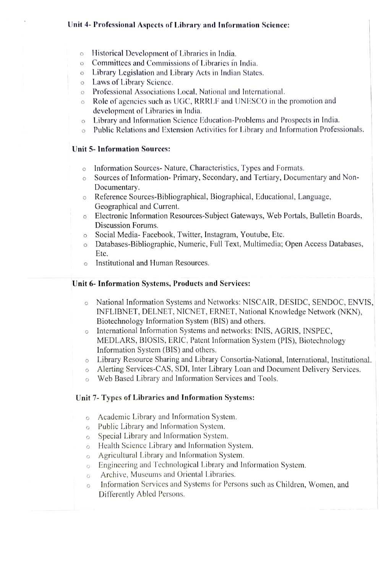#### Unit 4- Professional Aspects of Library and Information Science:

- Historical Development of Libraries in India.  $\circ$
- o Committees and Commissions of Libraries in India.
- o Library Legislation and Library Acts in Indian States.
- o Laws of Library Science.
- o Professional Associations Local, National and International.
- o Role of agencies such as UGC, RRRLF and UNEScO in the promotion and development of Libraries in India.
- o Library and Information Science Education-Problems and Prospects in India.
- o Public Relations and Extension Activities for Library and Information Professionals.

#### Unit 5- Information Sourees:

- o Information Sources- Nature, Characteristics, Types and Formats.
- o Sources of Information- Primary, Secondary, and Tertiary, Documentary and Non-Documentary.
- Reference Sources-Bibliographical, Biographical, Educational, Language,  $\circ$ Geographical and Current.
- Electronic Information Resources-Subject Gateways, Web Portals, Bulletin Boards,  $\circ$ Discussion Forums.
- o Social Media- Facebook, Twitter, Instagram, Youtube, Etc.
- Databases-Bibliographic, Numeric, Full Text, Multimedia; Open Access Databases, Etc.
- o Institutional and Human Resources.

#### Unit 6- Information Systems, Products and Services:

- National Information Systems and Networks: NISCAIR, DESIDC, SENDOC, ENVIS,  $\circ$ INFLIBNET, DELNET, NICNET, ERNET, National Knowledge Network (NKN), Biotechnology Information System (BIS) and others.
- o International Information Systems and networks: INIS, AGRIS, INSPEC, MEDLARs, BIOSIS, ERIC, Patent Information System (PIS), Biotechnology Information System (BIS) and others.
- o Library Resource Sharing and Library Consortia-National, International, Institutional.
- o Alerting Services-CAS, SDI, Inter Library Loan and Document Delivery Services.
- o Web Based Library and Information Services and Tools.

#### Unit 7-Types of Libraries and Information Systems:

- Academic Library and Information System.  $\circ$
- o Public Library and Information System.
- o Special Library and Information System.
- o Health Science Library and Information System.
- o Agricultural Library and Information System.
- Engineering and Technological Library and Information System.  $\circ$
- Archive, Museums and Oriental Libraries.  $\circ$
- Information Services and Systems for Persons such as Children, Women, and  $\circ$ Differently Abled Persons.